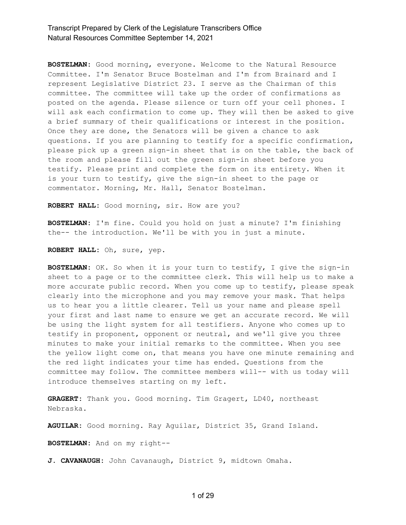**BOSTELMAN:** Good morning, everyone. Welcome to the Natural Resource Committee. I'm Senator Bruce Bostelman and I'm from Brainard and I represent Legislative District 23. I serve as the Chairman of this committee. The committee will take up the order of confirmations as posted on the agenda. Please silence or turn off your cell phones. I will ask each confirmation to come up. They will then be asked to give a brief summary of their qualifications or interest in the position. Once they are done, the Senators will be given a chance to ask questions. If you are planning to testify for a specific confirmation, please pick up a green sign-in sheet that is on the table, the back of the room and please fill out the green sign-in sheet before you testify. Please print and complete the form on its entirety. When it is your turn to testify, give the sign-in sheet to the page or commentator. Morning, Mr. Hall, Senator Bostelman.

**ROBERT HALL:** Good morning, sir. How are you?

**BOSTELMAN:** I'm fine. Could you hold on just a minute? I'm finishing the-- the introduction. We'll be with you in just a minute.

**ROBERT HALL:** Oh, sure, yep.

**BOSTELMAN:** OK. So when it is your turn to testify, I give the sign-in sheet to a page or to the committee clerk. This will help us to make a more accurate public record. When you come up to testify, please speak clearly into the microphone and you may remove your mask. That helps us to hear you a little clearer. Tell us your name and please spell your first and last name to ensure we get an accurate record. We will be using the light system for all testifiers. Anyone who comes up to testify in proponent, opponent or neutral, and we'll give you three minutes to make your initial remarks to the committee. When you see the yellow light come on, that means you have one minute remaining and the red light indicates your time has ended. Questions from the committee may follow. The committee members will-- with us today will introduce themselves starting on my left.

**GRAGERT:** Thank you. Good morning. Tim Gragert, LD40, northeast Nebraska.

**AGUILAR:** Good morning. Ray Aguilar, District 35, Grand Island.

**BOSTELMAN:** And on my right--

**J. CAVANAUGH:** John Cavanaugh, District 9, midtown Omaha.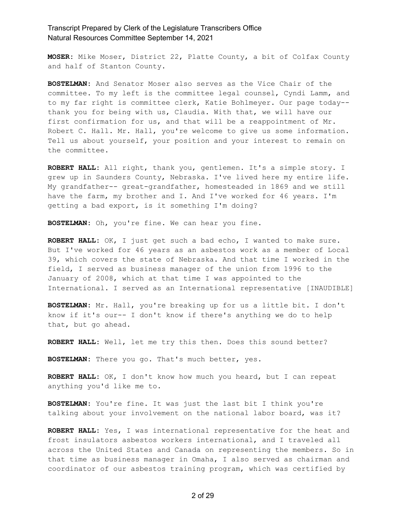**MOSER:** Mike Moser, District 22, Platte County, a bit of Colfax County and half of Stanton County.

**BOSTELMAN:** And Senator Moser also serves as the Vice Chair of the committee. To my left is the committee legal counsel, Cyndi Lamm, and to my far right is committee clerk, Katie Bohlmeyer. Our page today- thank you for being with us, Claudia. With that, we will have our first confirmation for us, and that will be a reappointment of Mr. Robert C. Hall. Mr. Hall, you're welcome to give us some information. Tell us about yourself, your position and your interest to remain on the committee.

**ROBERT HALL:** All right, thank you, gentlemen. It's a simple story. I grew up in Saunders County, Nebraska. I've lived here my entire life. My grandfather-- great-grandfather, homesteaded in 1869 and we still have the farm, my brother and I. And I've worked for 46 years. I'm getting a bad export, is it something I'm doing?

**BOSTELMAN:** Oh, you're fine. We can hear you fine.

**ROBERT HALL:** OK, I just get such a bad echo, I wanted to make sure. But I've worked for 46 years as an asbestos work as a member of Local 39, which covers the state of Nebraska. And that time I worked in the field, I served as business manager of the union from 1996 to the January of 2008, which at that time I was appointed to the International. I served as an International representative [INAUDIBLE]

**BOSTELMAN:** Mr. Hall, you're breaking up for us a little bit. I don't know if it's our-- I don't know if there's anything we do to help that, but go ahead.

**ROBERT HALL:** Well, let me try this then. Does this sound better?

**BOSTELMAN:** There you go. That's much better, yes.

**ROBERT HALL:** OK, I don't know how much you heard, but I can repeat anything you'd like me to.

**BOSTELMAN:** You're fine. It was just the last bit I think you're talking about your involvement on the national labor board, was it?

**ROBERT HALL:** Yes, I was international representative for the heat and frost insulators asbestos workers international, and I traveled all across the United States and Canada on representing the members. So in that time as business manager in Omaha, I also served as chairman and coordinator of our asbestos training program, which was certified by

2 of 29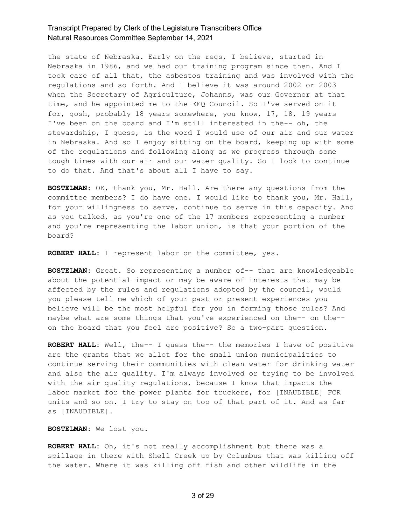the state of Nebraska. Early on the regs, I believe, started in Nebraska in 1986, and we had our training program since then. And I took care of all that, the asbestos training and was involved with the regulations and so forth. And I believe it was around 2002 or 2003 when the Secretary of Agriculture, Johanns, was our Governor at that time, and he appointed me to the EEQ Council. So I've served on it for, gosh, probably 18 years somewhere, you know, 17, 18, 19 years I've been on the board and I'm still interested in the-- oh, the stewardship, I guess, is the word I would use of our air and our water in Nebraska. And so I enjoy sitting on the board, keeping up with some of the regulations and following along as we progress through some tough times with our air and our water quality. So I look to continue to do that. And that's about all I have to say.

**BOSTELMAN:** OK, thank you, Mr. Hall. Are there any questions from the committee members? I do have one. I would like to thank you, Mr. Hall, for your willingness to serve, continue to serve in this capacity. And as you talked, as you're one of the 17 members representing a number and you're representing the labor union, is that your portion of the board?

**ROBERT HALL:** I represent labor on the committee, yes.

**BOSTELMAN:** Great. So representing a number of-- that are knowledgeable about the potential impact or may be aware of interests that may be affected by the rules and regulations adopted by the council, would you please tell me which of your past or present experiences you believe will be the most helpful for you in forming those rules? And maybe what are some things that you've experienced on the-- on the- on the board that you feel are positive? So a two-part question.

**ROBERT HALL:** Well, the-- I guess the-- the memories I have of positive are the grants that we allot for the small union municipalities to continue serving their communities with clean water for drinking water and also the air quality. I'm always involved or trying to be involved with the air quality regulations, because I know that impacts the labor market for the power plants for truckers, for [INAUDIBLE] FCR units and so on. I try to stay on top of that part of it. And as far as [INAUDIBLE].

**BOSTELMAN:** We lost you.

**ROBERT HALL:** Oh, it's not really accomplishment but there was a spillage in there with Shell Creek up by Columbus that was killing off the water. Where it was killing off fish and other wildlife in the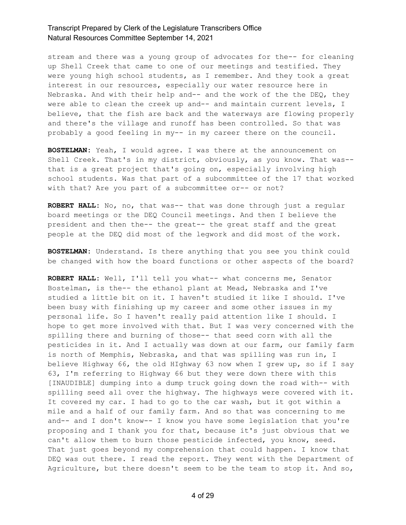stream and there was a young group of advocates for the-- for cleaning up Shell Creek that came to one of our meetings and testified. They were young high school students, as I remember. And they took a great interest in our resources, especially our water resource here in Nebraska. And with their help and-- and the work of the the DEQ, they were able to clean the creek up and-- and maintain current levels, I believe, that the fish are back and the waterways are flowing properly and there's the village and runoff has been controlled. So that was probably a good feeling in my-- in my career there on the council.

**BOSTELMAN:** Yeah, I would agree. I was there at the announcement on Shell Creek. That's in my district, obviously, as you know. That was- that is a great project that's going on, especially involving high school students. Was that part of a subcommittee of the 17 that worked with that? Are you part of a subcommittee or-- or not?

**ROBERT HALL:** No, no, that was-- that was done through just a regular board meetings or the DEQ Council meetings. And then I believe the president and then the-- the great-- the great staff and the great people at the DEQ did most of the legwork and did most of the work.

**BOSTELMAN:** Understand. Is there anything that you see you think could be changed with how the board functions or other aspects of the board?

**ROBERT HALL:** Well, I'll tell you what-- what concerns me, Senator Bostelman, is the-- the ethanol plant at Mead, Nebraska and I've studied a little bit on it. I haven't studied it like I should. I've been busy with finishing up my career and some other issues in my personal life. So I haven't really paid attention like I should. I hope to get more involved with that. But I was very concerned with the spilling there and burning of those-- that seed corn with all the pesticides in it. And I actually was down at our farm, our family farm is north of Memphis, Nebraska, and that was spilling was run in, I believe Highway 66, the old HIghway 63 now when I grew up, so if I say 63, I'm referring to Highway 66 but they were down there with this [INAUDIBLE] dumping into a dump truck going down the road with-- with spilling seed all over the highway. The highways were covered with it. It covered my car. I had to go to the car wash, but it got within a mile and a half of our family farm. And so that was concerning to me and-- and I don't know-- I know you have some legislation that you're proposing and I thank you for that, because it's just obvious that we can't allow them to burn those pesticide infected, you know, seed. That just goes beyond my comprehension that could happen. I know that DEQ was out there. I read the report. They went with the Department of Agriculture, but there doesn't seem to be the team to stop it. And so,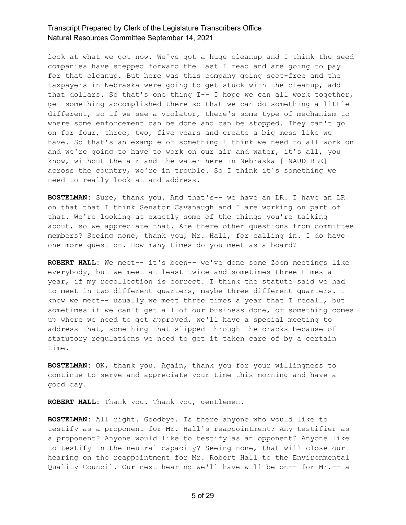look at what we got now. We've got a huge cleanup and I think the seed companies have stepped forward the last I read and are going to pay for that cleanup. But here was this company going scot-free and the taxpayers in Nebraska were going to get stuck with the cleanup, add that dollars. So that's one thing I-- I hope we can all work together, get something accomplished there so that we can do something a little different, so if we see a violator, there's some type of mechanism to where some enforcement can be done and can be stopped. They can't go on for four, three, two, five years and create a big mess like we have. So that's an example of something I think we need to all work on and we're going to have to work on our air and water, it's all, you know, without the air and the water here in Nebraska [INAUDIBLE] across the country, we're in trouble. So I think it's something we need to really look at and address.

**BOSTELMAN:** Sure, thank you. And that's-- we have an LR. I have an LR on that that I think Senator Cavanaugh and I are working on part of that. We're looking at exactly some of the things you're talking about, so we appreciate that. Are there other questions from committee members? Seeing none, thank you, Mr. Hall, for calling in. I do have one more question. How many times do you meet as a board?

**ROBERT HALL:** We meet-- it's been-- we've done some Zoom meetings like everybody, but we meet at least twice and sometimes three times a year, if my recollection is correct. I think the statute said we had to meet in two different quarters, maybe three different quarters. I know we meet-- usually we meet three times a year that I recall, but sometimes if we can't get all of our business done, or something comes up where we need to get approved, we'll have a special meeting to address that, something that slipped through the cracks because of statutory regulations we need to get it taken care of by a certain time.

**BOSTELMAN:** OK, thank you. Again, thank you for your willingness to continue to serve and appreciate your time this morning and have a good day.

**ROBERT HALL:** Thank you. Thank you, gentlemen.

**BOSTELMAN:** All right. Goodbye. Is there anyone who would like to testify as a proponent for Mr. Hall's reappointment? Any testifier as a proponent? Anyone would like to testify as an opponent? Anyone like to testify in the neutral capacity? Seeing none, that will close our hearing on the reappointment for Mr. Robert Hall to the Environmental Quality Council. Our next hearing we'll have will be on-- for Mr.-- a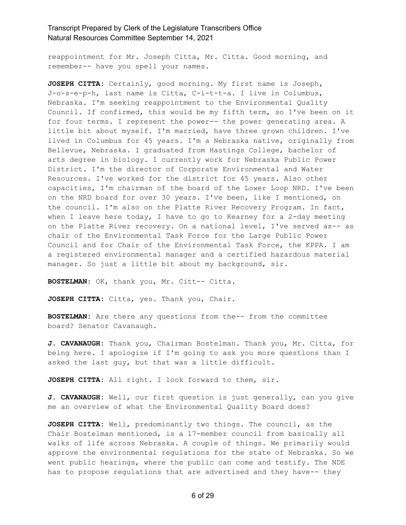reappointment for Mr. Joseph Citta, Mr. Citta. Good morning, and remember-- have you spell your names.

**JOSEPH CITTA:** Certainly, good morning. My first name is Joseph, J-o-s-e-p-h, last name is Citta, C-i-t-t-a. I live in Columbus, Nebraska. I'm seeking reappointment to the Environmental Quality Council. If confirmed, this would be my fifth term, so I've been on it for four terms. I represent the power-- the power generating area. A little bit about myself. I'm married, have three grown children. I've lived in Columbus for 45 years. I'm a Nebraska native, originally from Bellevue, Nebraska. I graduated from Hastings College, bachelor of arts degree in biology. I currently work for Nebraska Public Power District. I'm the director of Corporate Environmental and Water Resources. I've worked for the district for 45 years. Also other capacities, I'm chairman of the board of the Lower Loop NRD. I've been on the NRD board for over 30 years. I've been, like I mentioned, on the council. I'm also on the Platte River Recovery Program. In fact, when I leave here today, I have to go to Kearney for a 2-day meeting on the Platte River recovery. On a national level, I've served as-- as chair of the Environmental Task Force for the Large Public Power Council and for Chair of the Environmental Task Force, the KPPA. I am a registered environmental manager and a certified hazardous material manager. So just a little bit about my background, sir.

**BOSTELMAN:** OK, thank you, Mr. Citt-- Citta.

**JOSEPH CITTA:** Citta, yes. Thank you, Chair.

**BOSTELMAN:** Are there any questions from the-- from the committee board? Senator Cavanaugh.

**J. CAVANAUGH:** Thank you, Chairman Bostelman. Thank you, Mr. Citta, for being here. I apologize if I'm going to ask you more questions than I asked the last guy, but that was a little difficult.

**JOSEPH CITTA:** All right. I look forward to them, sir.

**J. CAVANAUGH:** Well, our first question is just generally, can you give me an overview of what the Environmental Quality Board does?

**JOSEPH CITTA:** Well, predominantly two things. The council, as the Chair Bostelman mentioned, is a 17-member council from basically all walks of life across Nebraska. A couple of things. We primarily would approve the environmental regulations for the state of Nebraska. So we went public hearings, where the public can come and testify. The NDE has to propose regulations that are advertised and they have-- they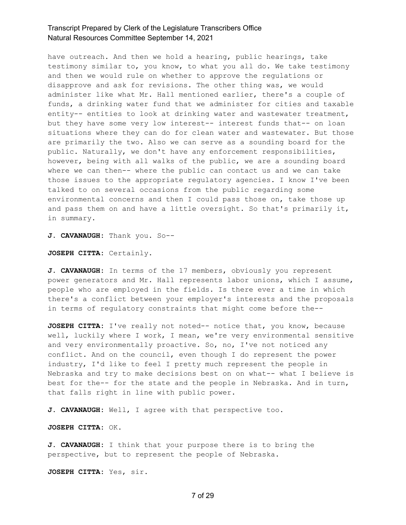have outreach. And then we hold a hearing, public hearings, take testimony similar to, you know, to what you all do. We take testimony and then we would rule on whether to approve the regulations or disapprove and ask for revisions. The other thing was, we would administer like what Mr. Hall mentioned earlier, there's a couple of funds, a drinking water fund that we administer for cities and taxable entity-- entities to look at drinking water and wastewater treatment, but they have some very low interest-- interest funds that-- on loan situations where they can do for clean water and wastewater. But those are primarily the two. Also we can serve as a sounding board for the public. Naturally, we don't have any enforcement responsibilities, however, being with all walks of the public, we are a sounding board where we can then-- where the public can contact us and we can take those issues to the appropriate regulatory agencies. I know I've been talked to on several occasions from the public regarding some environmental concerns and then I could pass those on, take those up and pass them on and have a little oversight. So that's primarily it, in summary.

**J. CAVANAUGH:** Thank you. So--

**JOSEPH CITTA:** Certainly.

**J. CAVANAUGH:** In terms of the 17 members, obviously you represent power generators and Mr. Hall represents labor unions, which I assume, people who are employed in the fields. Is there ever a time in which there's a conflict between your employer's interests and the proposals in terms of regulatory constraints that might come before the--

**JOSEPH CITTA:** I've really not noted-- notice that, you know, because well, luckily where I work, I mean, we're very environmental sensitive and very environmentally proactive. So, no, I've not noticed any conflict. And on the council, even though I do represent the power industry, I'd like to feel I pretty much represent the people in Nebraska and try to make decisions best on on what-- what I believe is best for the-- for the state and the people in Nebraska. And in turn, that falls right in line with public power.

**J. CAVANAUGH:** Well, I agree with that perspective too.

**JOSEPH CITTA:** OK.

**J. CAVANAUGH:** I think that your purpose there is to bring the perspective, but to represent the people of Nebraska.

**JOSEPH CITTA:** Yes, sir.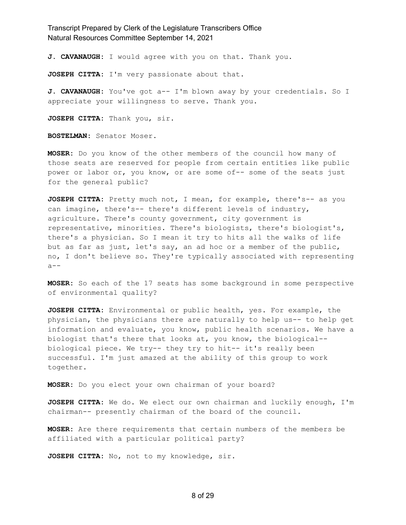**J. CAVANAUGH:** I would agree with you on that. Thank you.

**JOSEPH CITTA:** I'm very passionate about that.

**J. CAVANAUGH:** You've got a-- I'm blown away by your credentials. So I appreciate your willingness to serve. Thank you.

**JOSEPH CITTA:** Thank you, sir.

**BOSTELMAN:** Senator Moser.

**MOSER:** Do you know of the other members of the council how many of those seats are reserved for people from certain entities like public power or labor or, you know, or are some of-- some of the seats just for the general public?

**JOSEPH CITTA:** Pretty much not, I mean, for example, there's-- as you can imagine, there's-- there's different levels of industry, agriculture. There's county government, city government is representative, minorities. There's biologists, there's biologist's, there's a physician. So I mean it try to hits all the walks of life but as far as just, let's say, an ad hoc or a member of the public, no, I don't believe so. They're typically associated with representing  $a--$ 

**MOSER:** So each of the 17 seats has some background in some perspective of environmental quality?

**JOSEPH CITTA:** Environmental or public health, yes. For example, the physician, the physicians there are naturally to help us-- to help get information and evaluate, you know, public health scenarios. We have a biologist that's there that looks at, you know, the biological- biological piece. We try-- they try to hit-- it's really been successful. I'm just amazed at the ability of this group to work together.

**MOSER:** Do you elect your own chairman of your board?

**JOSEPH CITTA:** We do. We elect our own chairman and luckily enough, I'm chairman-- presently chairman of the board of the council.

**MOSER:** Are there requirements that certain numbers of the members be affiliated with a particular political party?

**JOSEPH CITTA:** No, not to my knowledge, sir.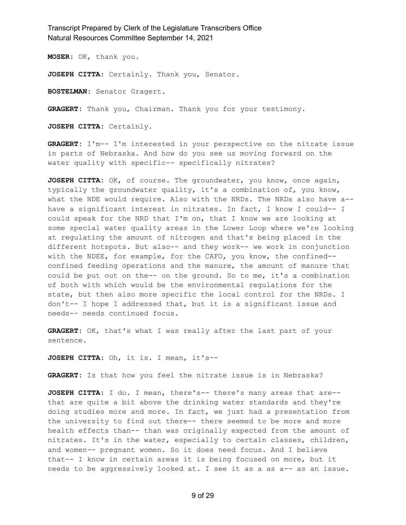**MOSER:** OK, thank you.

**JOSEPH CITTA:** Certainly. Thank you, Senator.

**BOSTELMAN:** Senator Gragert.

**GRAGERT:** Thank you, Chairman. Thank you for your testimony.

**JOSEPH CITTA:** Certainly.

**GRAGERT:** I'm-- I'm interested in your perspective on the nitrate issue in parts of Nebraska. And how do you see us moving forward on the water quality with specific-- specifically nitrates?

**JOSEPH CITTA:** OK, of course. The groundwater, you know, once again, typically the groundwater quality, it's a combination of, you know, what the NDE would require. Also with the NRDs. The NRDs also have a- have a significant interest in nitrates. In fact, I know I could-- I could speak for the NRD that I'm on, that I know we are looking at some special water quality areas in the Lower Loop where we're looking at regulating the amount of nitrogen and that's being placed in the different hotspots. But also-- and they work-- we work in conjunction with the NDEE, for example, for the CAFO, you know, the confined- confined feeding operations and the manure, the amount of manure that could be put out on the-- on the ground. So to me, it's a combination of both with which would be the environmental regulations for the state, but then also more specific the local control for the NRDs. I don't-- I hope I addressed that, but it is a significant issue and needs-- needs continued focus.

**GRAGERT:** OK, that's what I was really after the last part of your sentence.

**JOSEPH CITTA:** Oh, it is. I mean, it's--

**GRAGERT:** Is that how you feel the nitrate issue is in Nebraska?

**JOSEPH CITTA:** I do. I mean, there's-- there's many areas that are- that are quite a bit above the drinking water standards and they're doing studies more and more. In fact, we just had a presentation from the university to find out there-- there seemed to be more and more health effects than-- than was originally expected from the amount of nitrates. It's in the water, especially to certain classes, children, and women-- pregnant women. So it does need focus. And I believe that-- I know in certain areas it is being focused on more, but it needs to be aggressively looked at. I see it as a as a-- as an issue.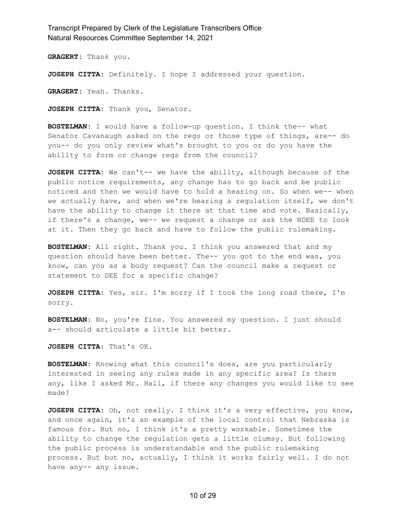**GRAGERT:** Thank you.

**JOSEPH CITTA:** Definitely. I hope I addressed your question.

**GRAGERT:** Yeah. Thanks.

**JOSEPH CITTA:** Thank you, Senator.

**BOSTELMAN:** I would have a follow-up question. I think the-- what Senator Cavanaugh asked on the regs or those type of things, are-- do you-- do you only review what's brought to you or do you have the ability to form or change regs from the council?

**JOSEPH CITTA:** We can't-- we have the ability, although because of the public notice requirements, any change has to go back and be public noticed and then we would have to hold a hearing on. So when we-- when we actually have, and when we're hearing a regulation itself, we don't have the ability to change it there at that time and vote. Basically, if there's a change, we-- we request a change or ask the NDEE to look at it. Then they go back and have to follow the public rulemaking.

**BOSTELMAN:** All right. Thank you. I think you answered that and my question should have been better. The-- you got to the end was, you know, can you as a body request? Can the council make a request or statement to DEE for a specific change?

**JOSEPH CITTA:** Yes, sir. I'm sorry if I took the long road there, I'm sorry.

**BOSTELMAN:** No, you're fine. You answered my question. I just should a-- should articulate a little bit better.

**JOSEPH CITTA:** That's OK.

**BOSTELMAN:** Knowing what this council's does, are you particularly interested in seeing any rules made in any specific area? Is there any, like I asked Mr. Hall, if there any changes you would like to see made?

**JOSEPH CITTA:** Oh, not really. I think it's a very effective, you know, and once again, it's an example of the local control that Nebraska is famous for. But no, I think it's a pretty workable. Sometimes the ability to change the regulation gets a little clumsy. But following the public process is understandable and the public rulemaking process. But but no, actually, I think it works fairly well. I do not have any-- any issue.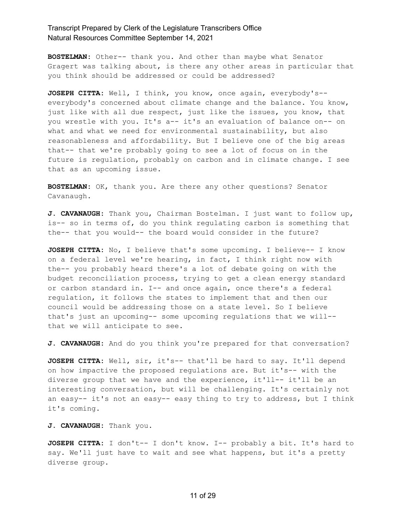**BOSTELMAN:** Other-- thank you. And other than maybe what Senator Gragert was talking about, is there any other areas in particular that you think should be addressed or could be addressed?

**JOSEPH CITTA:** Well, I think, you know, once again, everybody's- everybody's concerned about climate change and the balance. You know, just like with all due respect, just like the issues, you know, that you wrestle with you. It's a-- it's an evaluation of balance on-- on what and what we need for environmental sustainability, but also reasonableness and affordability. But I believe one of the big areas that-- that we're probably going to see a lot of focus on in the future is regulation, probably on carbon and in climate change. I see that as an upcoming issue.

**BOSTELMAN:** OK, thank you. Are there any other questions? Senator Cavanaugh.

**J. CAVANAUGH:** Thank you, Chairman Bostelman. I just want to follow up, is-- so in terms of, do you think regulating carbon is something that the-- that you would-- the board would consider in the future?

**JOSEPH CITTA:** No, I believe that's some upcoming. I believe-- I know on a federal level we're hearing, in fact, I think right now with the-- you probably heard there's a lot of debate going on with the budget reconciliation process, trying to get a clean energy standard or carbon standard in. I-- and once again, once there's a federal regulation, it follows the states to implement that and then our council would be addressing those on a state level. So I believe that's just an upcoming-- some upcoming regulations that we will- that we will anticipate to see.

**J. CAVANAUGH:** And do you think you're prepared for that conversation?

**JOSEPH CITTA:** Well, sir, it's-- that'll be hard to say. It'll depend on how impactive the proposed regulations are. But it's-- with the diverse group that we have and the experience, it'll-- it'll be an interesting conversation, but will be challenging. It's certainly not an easy-- it's not an easy-- easy thing to try to address, but I think it's coming.

**J. CAVANAUGH:** Thank you.

**JOSEPH CITTA:** I don't-- I don't know. I-- probably a bit. It's hard to say. We'll just have to wait and see what happens, but it's a pretty diverse group.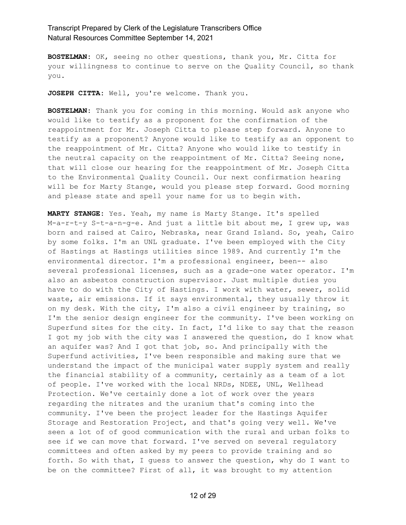**BOSTELMAN:** OK, seeing no other questions, thank you, Mr. Citta for your willingness to continue to serve on the Quality Council, so thank you.

**JOSEPH CITTA:** Well, you're welcome. Thank you.

**BOSTELMAN:** Thank you for coming in this morning. Would ask anyone who would like to testify as a proponent for the confirmation of the reappointment for Mr. Joseph Citta to please step forward. Anyone to testify as a proponent? Anyone would like to testify as an opponent to the reappointment of Mr. Citta? Anyone who would like to testify in the neutral capacity on the reappointment of Mr. Citta? Seeing none, that will close our hearing for the reappointment of Mr. Joseph Citta to the Environmental Quality Council. Our next confirmation hearing will be for Marty Stange, would you please step forward. Good morning and please state and spell your name for us to begin with.

**MARTY STANGE:** Yes. Yeah, my name is Marty Stange. It's spelled M-a-r-t-y S-t-a-n-g-e. And just a little bit about me, I grew up, was born and raised at Cairo, Nebraska, near Grand Island. So, yeah, Cairo by some folks. I'm an UNL graduate. I've been employed with the City of Hastings at Hastings utilities since 1989. And currently I'm the environmental director. I'm a professional engineer, been-- also several professional licenses, such as a grade-one water operator. I'm also an asbestos construction supervisor. Just multiple duties you have to do with the City of Hastings. I work with water, sewer, solid waste, air emissions. If it says environmental, they usually throw it on my desk. With the city, I'm also a civil engineer by training, so I'm the senior design engineer for the community. I've been working on Superfund sites for the city. In fact, I'd like to say that the reason I got my job with the city was I answered the question, do I know what an aquifer was? And I got that job, so. And principally with the Superfund activities, I've been responsible and making sure that we understand the impact of the municipal water supply system and really the financial stability of a community, certainly as a team of a lot of people. I've worked with the local NRDs, NDEE, UNL, Wellhead Protection. We've certainly done a lot of work over the years regarding the nitrates and the uranium that's coming into the community. I've been the project leader for the Hastings Aquifer Storage and Restoration Project, and that's going very well. We've seen a lot of of good communication with the rural and urban folks to see if we can move that forward. I've served on several regulatory committees and often asked by my peers to provide training and so forth. So with that, I guess to answer the question, why do I want to be on the committee? First of all, it was brought to my attention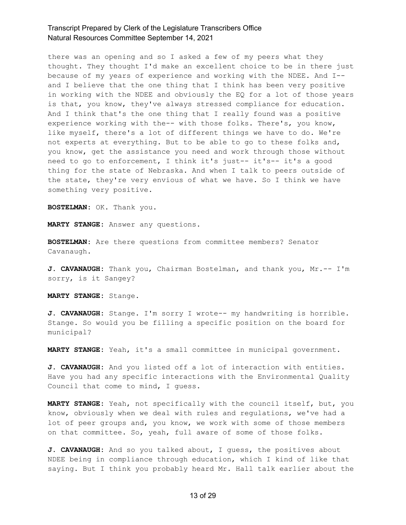there was an opening and so I asked a few of my peers what they thought. They thought I'd make an excellent choice to be in there just because of my years of experience and working with the NDEE. And I- and I believe that the one thing that I think has been very positive in working with the NDEE and obviously the EQ for a lot of those years is that, you know, they've always stressed compliance for education. And I think that's the one thing that I really found was a positive experience working with the-- with those folks. There's, you know, like myself, there's a lot of different things we have to do. We're not experts at everything. But to be able to go to these folks and, you know, get the assistance you need and work through those without need to go to enforcement, I think it's just-- it's-- it's a good thing for the state of Nebraska. And when I talk to peers outside of the state, they're very envious of what we have. So I think we have something very positive.

**BOSTELMAN:** OK. Thank you.

**MARTY STANGE:** Answer any questions.

**BOSTELMAN:** Are there questions from committee members? Senator Cavanaugh.

**J. CAVANAUGH:** Thank you, Chairman Bostelman, and thank you, Mr.-- I'm sorry, is it Sangey?

**MARTY STANGE:** Stange.

**J. CAVANAUGH:** Stange. I'm sorry I wrote-- my handwriting is horrible. Stange. So would you be filling a specific position on the board for municipal?

**MARTY STANGE:** Yeah, it's a small committee in municipal government.

**J. CAVANAUGH:** And you listed off a lot of interaction with entities. Have you had any specific interactions with the Environmental Quality Council that come to mind, I guess.

**MARTY STANGE:** Yeah, not specifically with the council itself, but, you know, obviously when we deal with rules and regulations, we've had a lot of peer groups and, you know, we work with some of those members on that committee. So, yeah, full aware of some of those folks.

**J. CAVANAUGH:** And so you talked about, I guess, the positives about NDEE being in compliance through education, which I kind of like that saying. But I think you probably heard Mr. Hall talk earlier about the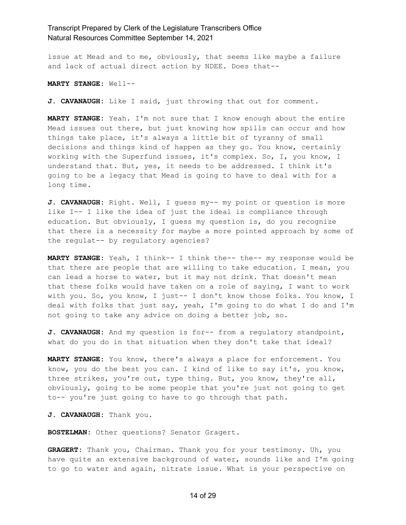issue at Mead and to me, obviously, that seems like maybe a failure and lack of actual direct action by NDEE. Does that--

**MARTY STANGE:** Well--

**J. CAVANAUGH:** Like I said, just throwing that out for comment.

**MARTY STANGE:** Yeah. I'm not sure that I know enough about the entire Mead issues out there, but just knowing how spills can occur and how things take place, it's always a little bit of tyranny of small decisions and things kind of happen as they go. You know, certainly working with the Superfund issues, it's complex. So, I, you know, I understand that. But, yes, it needs to be addressed. I think it's going to be a legacy that Mead is going to have to deal with for a long time.

**J. CAVANAUGH:** Right. Well, I guess my-- my point or question is more like I-- I like the idea of just the ideal is compliance through education. But obviously, I guess my question is, do you recognize that there is a necessity for maybe a more pointed approach by some of the regulat-- by regulatory agencies?

**MARTY STANGE:** Yeah, I think-- I think the-- the-- my response would be that there are people that are willing to take education. I mean, you can lead a horse to water, but it may not drink. That doesn't mean that these folks would have taken on a role of saying, I want to work with you. So, you know, I just-- I don't know those folks. You know, I deal with folks that just say, yeah, I'm going to do what I do and I'm not going to take any advice on doing a better job, so.

**J. CAVANAUGH:** And my question is for-- from a regulatory standpoint, what do you do in that situation when they don't take that ideal?

**MARTY STANGE:** You know, there's always a place for enforcement. You know, you do the best you can. I kind of like to say it's, you know, three strikes, you're out, type thing. But, you know, they're all, obviously, going to be some people that you're just not going to get to-- you're just going to have to go through that path.

**J. CAVANAUGH:** Thank you.

**BOSTELMAN:** Other questions? Senator Gragert.

**GRAGERT:** Thank you, Chairman. Thank you for your testimony. Uh, you have quite an extensive background of water, sounds like and I'm going to go to water and again, nitrate issue. What is your perspective on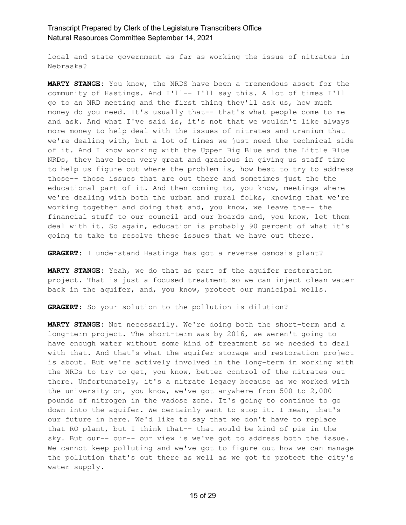local and state government as far as working the issue of nitrates in Nebraska?

**MARTY STANGE:** You know, the NRDS have been a tremendous asset for the community of Hastings. And I'll-- I'll say this. A lot of times I'll go to an NRD meeting and the first thing they'll ask us, how much money do you need. It's usually that-- that's what people come to me and ask. And what I've said is, it's not that we wouldn't like always more money to help deal with the issues of nitrates and uranium that we're dealing with, but a lot of times we just need the technical side of it. And I know working with the Upper Big Blue and the Little Blue NRDs, they have been very great and gracious in giving us staff time to help us figure out where the problem is, how best to try to address those-- those issues that are out there and sometimes just the the educational part of it. And then coming to, you know, meetings where we're dealing with both the urban and rural folks, knowing that we're working together and doing that and, you know, we leave the-- the financial stuff to our council and our boards and, you know, let them deal with it. So again, education is probably 90 percent of what it's going to take to resolve these issues that we have out there.

**GRAGERT:** I understand Hastings has got a reverse osmosis plant?

**MARTY STANGE:** Yeah, we do that as part of the aquifer restoration project. That is just a focused treatment so we can inject clean water back in the aquifer, and, you know, protect our municipal wells.

**GRAGERT:** So your solution to the pollution is dilution?

**MARTY STANGE:** Not necessarily. We're doing both the short-term and a long-term project. The short-term was by 2016, we weren't going to have enough water without some kind of treatment so we needed to deal with that. And that's what the aquifer storage and restoration project is about. But we're actively involved in the long-term in working with the NRDs to try to get, you know, better control of the nitrates out there. Unfortunately, it's a nitrate legacy because as we worked with the university on, you know, we've got anywhere from 500 to 2,000 pounds of nitrogen in the vadose zone. It's going to continue to go down into the aquifer. We certainly want to stop it. I mean, that's our future in here. We'd like to say that we don't have to replace that RO plant, but I think that-- that would be kind of pie in the sky. But our-- our-- our view is we've got to address both the issue. We cannot keep polluting and we've got to figure out how we can manage the pollution that's out there as well as we got to protect the city's water supply.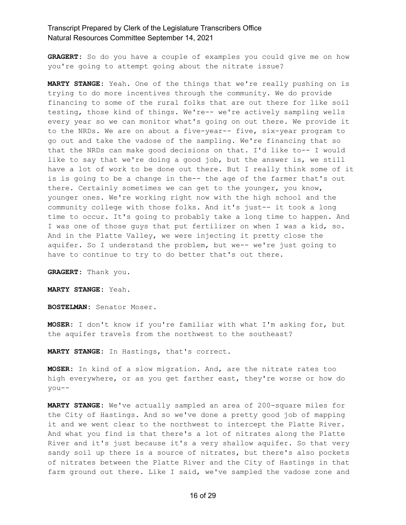**GRAGERT:** So do you have a couple of examples you could give me on how you're going to attempt going about the nitrate issue?

**MARTY STANGE:** Yeah. One of the things that we're really pushing on is trying to do more incentives through the community. We do provide financing to some of the rural folks that are out there for like soil testing, those kind of things. We're-- we're actively sampling wells every year so we can monitor what's going on out there. We provide it to the NRDs. We are on about a five-year-- five, six-year program to go out and take the vadose of the sampling. We're financing that so that the NRDs can make good decisions on that. I'd like to-- I would like to say that we're doing a good job, but the answer is, we still have a lot of work to be done out there. But I really think some of it is is going to be a change in the-- the age of the farmer that's out there. Certainly sometimes we can get to the younger, you know, younger ones. We're working right now with the high school and the community college with those folks. And it's just-- it took a long time to occur. It's going to probably take a long time to happen. And I was one of those guys that put fertilizer on when I was a kid, so. And in the Platte Valley, we were injecting it pretty close the aquifer. So I understand the problem, but we-- we're just going to have to continue to try to do better that's out there.

**GRAGERT:** Thank you.

**MARTY STANGE:** Yeah.

**BOSTELMAN:** Senator Moser.

**MOSER:** I don't know if you're familiar with what I'm asking for, but the aquifer travels from the northwest to the southeast?

**MARTY STANGE:** In Hastings, that's correct.

**MOSER:** In kind of a slow migration. And, are the nitrate rates too high everywhere, or as you get farther east, they're worse or how do you--

**MARTY STANGE:** We've actually sampled an area of 200-square miles for the City of Hastings. And so we've done a pretty good job of mapping it and we went clear to the northwest to intercept the Platte River. And what you find is that there's a lot of nitrates along the Platte River and it's just because it's a very shallow aquifer. So that very sandy soil up there is a source of nitrates, but there's also pockets of nitrates between the Platte River and the City of Hastings in that farm ground out there. Like I said, we've sampled the vadose zone and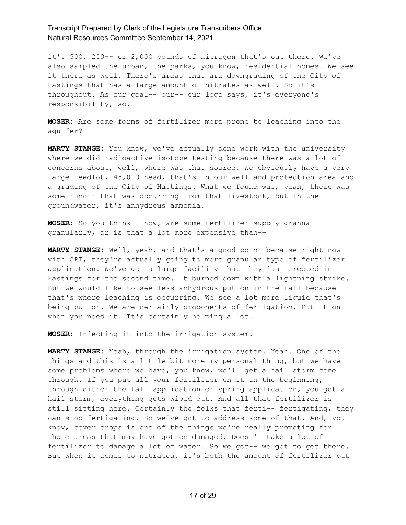it's 500, 200-- or 2,000 pounds of nitrogen that's out there. We've also sampled the urban, the parks, you know, residential homes. We see it there as well. There's areas that are downgrading of the City of Hastings that has a large amount of nitrates as well. So it's throughout. As our goal-- our-- our logo says, it's everyone's responsibility, so.

**MOSER:** Are some forms of fertilizer more prone to leaching into the aquifer?

**MARTY STANGE:** You know, we've actually done work with the university where we did radioactive isotope testing because there was a lot of concerns about, well, where was that source. We obviously have a very large feedlot, 45,000 head, that's in our well and protection area and a grading of the City of Hastings. What we found was, yeah, there was some runoff that was occurring from that livestock, but in the groundwater, it's anhydrous ammonia.

**MOSER:** So you think-- now, are some fertilizer supply granna- granularly, or is that a lot more expensive than--

**MARTY STANGE:** Well, yeah, and that's a good point because right now with CPI, they're actually going to more granular type of fertilizer application. We've got a large facility that they just erected in Hastings for the second time. It burned down with a lightning strike. But we would like to see less anhydrous put on in the fall because that's where leaching is occurring. We see a lot more liquid that's being put on. We are certainly proponents of fertigation. Put it on when you need it. It's certainly helping a lot.

**MOSER:** Injecting it into the irrigation system.

**MARTY STANGE:** Yeah, through the irrigation system. Yeah. One of the things and this is a little bit more my personal thing, but we have some problems where we have, you know, we'll get a hail storm come through. If you put all your fertilizer on it in the beginning, through either the fall application or spring application, you get a hail storm, everything gets wiped out. And all that fertilizer is still sitting here. Certainly the folks that ferti-- fertigating, they can stop fertigating. So we've got to address some of that. And, you know, cover crops is one of the things we're really promoting for those areas that may have gotten damaged. Doesn't take a lot of fertilizer to damage a lot of water. So we got-- we got to get there. But when it comes to nitrates, it's both the amount of fertilizer put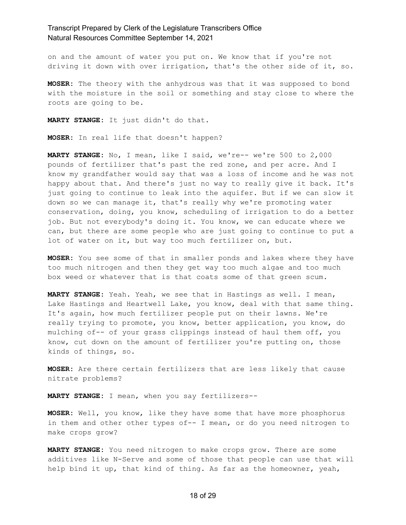on and the amount of water you put on. We know that if you're not driving it down with over irrigation, that's the other side of it, so.

**MOSER:** The theory with the anhydrous was that it was supposed to bond with the moisture in the soil or something and stay close to where the roots are going to be.

**MARTY STANGE:** It just didn't do that.

**MOSER:** In real life that doesn't happen?

**MARTY STANGE:** No, I mean, like I said, we're-- we're 500 to 2,000 pounds of fertilizer that's past the red zone, and per acre. And I know my grandfather would say that was a loss of income and he was not happy about that. And there's just no way to really give it back. It's just going to continue to leak into the aquifer. But if we can slow it down so we can manage it, that's really why we're promoting water conservation, doing, you know, scheduling of irrigation to do a better job. But not everybody's doing it. You know, we can educate where we can, but there are some people who are just going to continue to put a lot of water on it, but way too much fertilizer on, but.

**MOSER:** You see some of that in smaller ponds and lakes where they have too much nitrogen and then they get way too much algae and too much box weed or whatever that is that coats some of that green scum.

**MARTY STANGE:** Yeah. Yeah, we see that in Hastings as well. I mean, Lake Hastings and Heartwell Lake, you know, deal with that same thing. It's again, how much fertilizer people put on their lawns. We're really trying to promote, you know, better application, you know, do mulching of-- of your grass clippings instead of haul them off, you know, cut down on the amount of fertilizer you're putting on, those kinds of things, so.

**MOSER:** Are there certain fertilizers that are less likely that cause nitrate problems?

**MARTY STANGE:** I mean, when you say fertilizers--

**MOSER:** Well, you know, like they have some that have more phosphorus in them and other other types of-- I mean, or do you need nitrogen to make crops grow?

**MARTY STANGE:** You need nitrogen to make crops grow. There are some additives like N-Serve and some of those that people can use that will help bind it up, that kind of thing. As far as the homeowner, yeah,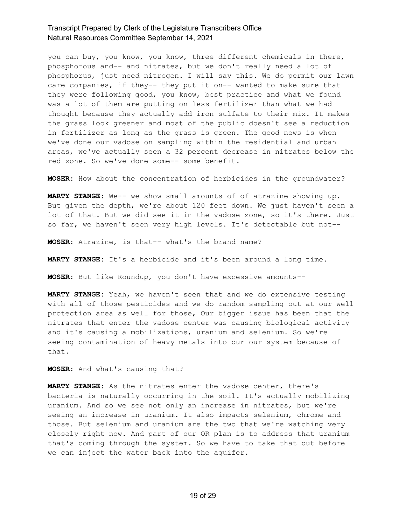you can buy, you know, you know, three different chemicals in there, phosphorous and-- and nitrates, but we don't really need a lot of phosphorus, just need nitrogen. I will say this. We do permit our lawn care companies, if they-- they put it on-- wanted to make sure that they were following good, you know, best practice and what we found was a lot of them are putting on less fertilizer than what we had thought because they actually add iron sulfate to their mix. It makes the grass look greener and most of the public doesn't see a reduction in fertilizer as long as the grass is green. The good news is when we've done our vadose on sampling within the residential and urban areas, we've actually seen a 32 percent decrease in nitrates below the red zone. So we've done some-- some benefit.

**MOSER:** How about the concentration of herbicides in the groundwater?

**MARTY STANGE:** We-- we show small amounts of of atrazine showing up. But given the depth, we're about 120 feet down. We just haven't seen a lot of that. But we did see it in the vadose zone, so it's there. Just so far, we haven't seen very high levels. It's detectable but not--

**MOSER:** Atrazine, is that-- what's the brand name?

**MARTY STANGE:** It's a herbicide and it's been around a long time.

**MOSER:** But like Roundup, you don't have excessive amounts--

**MARTY STANGE:** Yeah, we haven't seen that and we do extensive testing with all of those pesticides and we do random sampling out at our well protection area as well for those, Our bigger issue has been that the nitrates that enter the vadose center was causing biological activity and it's causing a mobilizations, uranium and selenium. So we're seeing contamination of heavy metals into our our system because of that.

**MOSER:** And what's causing that?

**MARTY STANGE:** As the nitrates enter the vadose center, there's bacteria is naturally occurring in the soil. It's actually mobilizing uranium. And so we see not only an increase in nitrates, but we're seeing an increase in uranium. It also impacts selenium, chrome and those. But selenium and uranium are the two that we're watching very closely right now. And part of our OR plan is to address that uranium that's coming through the system. So we have to take that out before we can inject the water back into the aquifer.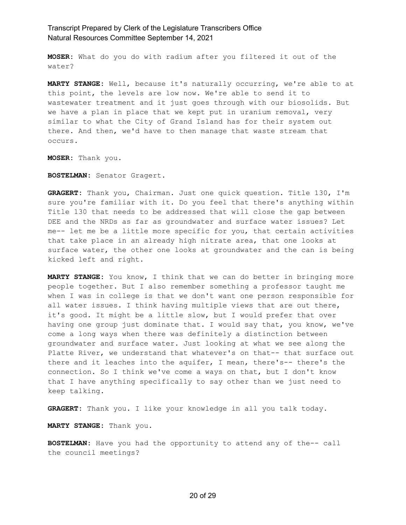**MOSER:** What do you do with radium after you filtered it out of the water?

**MARTY STANGE:** Well, because it's naturally occurring, we're able to at this point, the levels are low now. We're able to send it to wastewater treatment and it just goes through with our biosolids. But we have a plan in place that we kept put in uranium removal, very similar to what the City of Grand Island has for their system out there. And then, we'd have to then manage that waste stream that occurs.

**MOSER:** Thank you.

**BOSTELMAN:** Senator Gragert.

**GRAGERT:** Thank you, Chairman. Just one quick question. Title 130, I'm sure you're familiar with it. Do you feel that there's anything within Title 130 that needs to be addressed that will close the gap between DEE and the NRDs as far as groundwater and surface water issues? Let me-- let me be a little more specific for you, that certain activities that take place in an already high nitrate area, that one looks at surface water, the other one looks at groundwater and the can is being kicked left and right.

**MARTY STANGE:** You know, I think that we can do better in bringing more people together. But I also remember something a professor taught me when I was in college is that we don't want one person responsible for all water issues. I think having multiple views that are out there, it's good. It might be a little slow, but I would prefer that over having one group just dominate that. I would say that, you know, we've come a long ways when there was definitely a distinction between groundwater and surface water. Just looking at what we see along the Platte River, we understand that whatever's on that-- that surface out there and it leaches into the aquifer, I mean, there's-- there's the connection. So I think we've come a ways on that, but I don't know that I have anything specifically to say other than we just need to keep talking.

**GRAGERT:** Thank you. I like your knowledge in all you talk today.

**MARTY STANGE:** Thank you.

**BOSTELMAN:** Have you had the opportunity to attend any of the-- call the council meetings?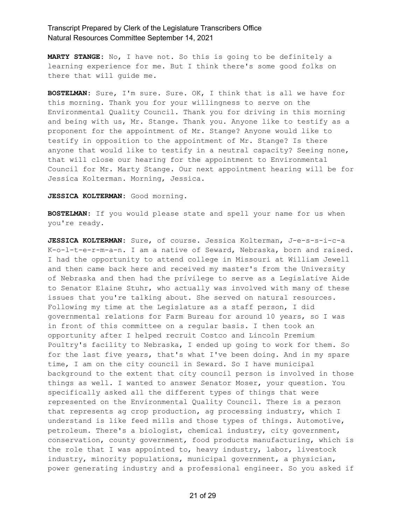**MARTY STANGE:** No, I have not. So this is going to be definitely a learning experience for me. But I think there's some good folks on there that will guide me.

**BOSTELMAN:** Sure, I'm sure. Sure. OK, I think that is all we have for this morning. Thank you for your willingness to serve on the Environmental Quality Council. Thank you for driving in this morning and being with us, Mr. Stange. Thank you. Anyone like to testify as a proponent for the appointment of Mr. Stange? Anyone would like to testify in opposition to the appointment of Mr. Stange? Is there anyone that would like to testify in a neutral capacity? Seeing none, that will close our hearing for the appointment to Environmental Council for Mr. Marty Stange. Our next appointment hearing will be for Jessica Kolterman. Morning, Jessica.

#### **JESSICA KOLTERMAN:** Good morning.

**BOSTELMAN:** If you would please state and spell your name for us when you're ready.

**JESSICA KOLTERMAN:** Sure, of course. Jessica Kolterman, J-e-s-s-i-c-a K-o-l-t-e-r-m-a-n. I am a native of Seward, Nebraska, born and raised. I had the opportunity to attend college in Missouri at William Jewell and then came back here and received my master's from the University of Nebraska and then had the privilege to serve as a Legislative Aide to Senator Elaine Stuhr, who actually was involved with many of these issues that you're talking about. She served on natural resources. Following my time at the Legislature as a staff person, I did governmental relations for Farm Bureau for around 10 years, so I was in front of this committee on a regular basis. I then took an opportunity after I helped recruit Costco and Lincoln Premium Poultry's facility to Nebraska, I ended up going to work for them. So for the last five years, that's what I've been doing. And in my spare time, I am on the city council in Seward. So I have municipal background to the extent that city council person is involved in those things as well. I wanted to answer Senator Moser, your question. You specifically asked all the different types of things that were represented on the Environmental Quality Council. There is a person that represents ag crop production, ag processing industry, which I understand is like feed mills and those types of things. Automotive, petroleum. There's a biologist, chemical industry, city government, conservation, county government, food products manufacturing, which is the role that I was appointed to, heavy industry, labor, livestock industry, minority populations, municipal government, a physician, power generating industry and a professional engineer. So you asked if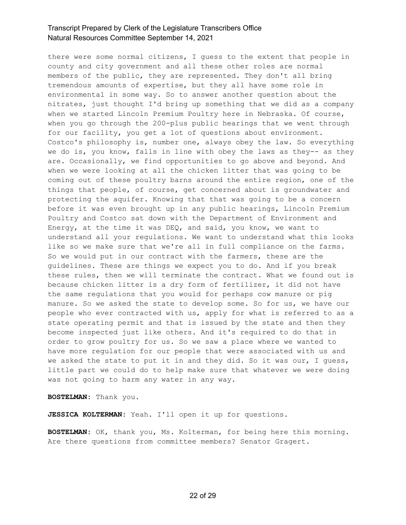there were some normal citizens, I guess to the extent that people in county and city government and all these other roles are normal members of the public, they are represented. They don't all bring tremendous amounts of expertise, but they all have some role in environmental in some way. So to answer another question about the nitrates, just thought I'd bring up something that we did as a company when we started Lincoln Premium Poultry here in Nebraska. Of course, when you go through the 200-plus public hearings that we went through for our facility, you get a lot of questions about environment. Costco's philosophy is, number one, always obey the law. So everything we do is, you know, falls in line with obey the laws as they-- as they are. Occasionally, we find opportunities to go above and beyond. And when we were looking at all the chicken litter that was going to be coming out of these poultry barns around the entire region, one of the things that people, of course, get concerned about is groundwater and protecting the aquifer. Knowing that that was going to be a concern before it was even brought up in any public hearings, Lincoln Premium Poultry and Costco sat down with the Department of Environment and Energy, at the time it was DEQ, and said, you know, we want to understand all your regulations. We want to understand what this looks like so we make sure that we're all in full compliance on the farms. So we would put in our contract with the farmers, these are the guidelines. These are things we expect you to do. And if you break these rules, then we will terminate the contract. What we found out is because chicken litter is a dry form of fertilizer, it did not have the same regulations that you would for perhaps cow manure or pig manure. So we asked the state to develop some. So for us, we have our people who ever contracted with us, apply for what is referred to as a state operating permit and that is issued by the state and then they become inspected just like others. And it's required to do that in order to grow poultry for us. So we saw a place where we wanted to have more regulation for our people that were associated with us and we asked the state to put it in and they did. So it was our, I guess, little part we could do to help make sure that whatever we were doing was not going to harm any water in any way.

**BOSTELMAN:** Thank you.

**JESSICA KOLTERMAN:** Yeah. I'll open it up for questions.

**BOSTELMAN:** OK, thank you, Ms. Kolterman, for being here this morning. Are there questions from committee members? Senator Gragert.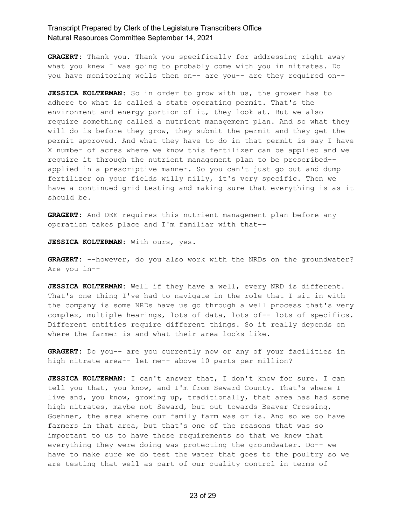**GRAGERT:** Thank you. Thank you specifically for addressing right away what you knew I was going to probably come with you in nitrates. Do you have monitoring wells then on-- are you-- are they required on--

**JESSICA KOLTERMAN:** So in order to grow with us, the grower has to adhere to what is called a state operating permit. That's the environment and energy portion of it, they look at. But we also require something called a nutrient management plan. And so what they will do is before they grow, they submit the permit and they get the permit approved. And what they have to do in that permit is say I have X number of acres where we know this fertilizer can be applied and we require it through the nutrient management plan to be prescribed- applied in a prescriptive manner. So you can't just go out and dump fertilizer on your fields willy nilly, it's very specific. Then we have a continued grid testing and making sure that everything is as it should be.

**GRAGERT:** And DEE requires this nutrient management plan before any operation takes place and I'm familiar with that--

**JESSICA KOLTERMAN:** With ours, yes.

GRAGERT: --however, do you also work with the NRDs on the groundwater? Are you in--

**JESSICA KOLTERMAN:** Well if they have a well, every NRD is different. That's one thing I've had to navigate in the role that I sit in with the company is some NRDs have us go through a well process that's very complex, multiple hearings, lots of data, lots of-- lots of specifics. Different entities require different things. So it really depends on where the farmer is and what their area looks like.

**GRAGERT:** Do you-- are you currently now or any of your facilities in high nitrate area-- let me-- above 10 parts per million?

**JESSICA KOLTERMAN:** I can't answer that, I don't know for sure. I can tell you that, you know, and I'm from Seward County. That's where I live and, you know, growing up, traditionally, that area has had some high nitrates, maybe not Seward, but out towards Beaver Crossing, Goehner, the area where our family farm was or is. And so we do have farmers in that area, but that's one of the reasons that was so important to us to have these requirements so that we knew that everything they were doing was protecting the groundwater. Do-- we have to make sure we do test the water that goes to the poultry so we are testing that well as part of our quality control in terms of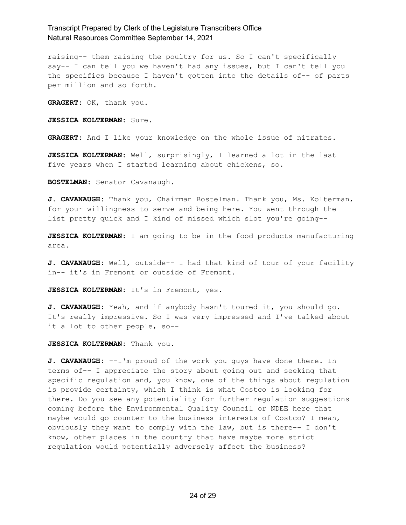raising-- them raising the poultry for us. So I can't specifically say-- I can tell you we haven't had any issues, but I can't tell you the specifics because I haven't gotten into the details of-- of parts per million and so forth.

**GRAGERT:** OK, thank you.

**JESSICA KOLTERMAN:** Sure.

**GRAGERT:** And I like your knowledge on the whole issue of nitrates.

**JESSICA KOLTERMAN:** Well, surprisingly, I learned a lot in the last five years when I started learning about chickens, so.

**BOSTELMAN:** Senator Cavanaugh.

**J. CAVANAUGH:** Thank you, Chairman Bostelman. Thank you, Ms. Kolterman, for your willingness to serve and being here. You went through the list pretty quick and I kind of missed which slot you're going--

**JESSICA KOLTERMAN:** I am going to be in the food products manufacturing area.

**J. CAVANAUGH:** Well, outside-- I had that kind of tour of your facility in-- it's in Fremont or outside of Fremont.

**JESSICA KOLTERMAN:** It's in Fremont, yes.

**J. CAVANAUGH:** Yeah, and if anybody hasn't toured it, you should go. It's really impressive. So I was very impressed and I've talked about it a lot to other people, so--

**JESSICA KOLTERMAN:** Thank you.

**J. CAVANAUGH:** --I'm proud of the work you guys have done there. In terms of-- I appreciate the story about going out and seeking that specific regulation and, you know, one of the things about regulation is provide certainty, which I think is what Costco is looking for there. Do you see any potentiality for further regulation suggestions coming before the Environmental Quality Council or NDEE here that maybe would go counter to the business interests of Costco? I mean, obviously they want to comply with the law, but is there-- I don't know, other places in the country that have maybe more strict regulation would potentially adversely affect the business?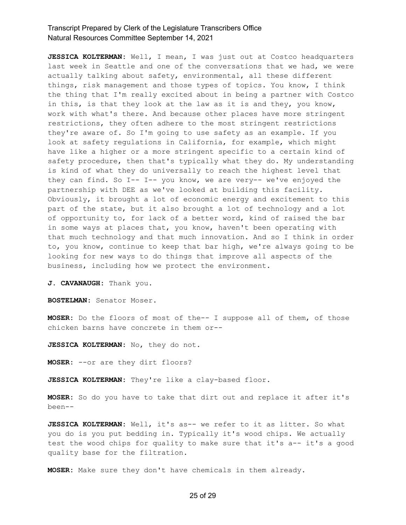**JESSICA KOLTERMAN:** Well, I mean, I was just out at Costco headquarters last week in Seattle and one of the conversations that we had, we were actually talking about safety, environmental, all these different things, risk management and those types of topics. You know, I think the thing that I'm really excited about in being a partner with Costco in this, is that they look at the law as it is and they, you know, work with what's there. And because other places have more stringent restrictions, they often adhere to the most stringent restrictions they're aware of. So I'm going to use safety as an example. If you look at safety regulations in California, for example, which might have like a higher or a more stringent specific to a certain kind of safety procedure, then that's typically what they do. My understanding is kind of what they do universally to reach the highest level that they can find. So I-- I-- you know, we are very-- we've enjoyed the partnership with DEE as we've looked at building this facility. Obviously, it brought a lot of economic energy and excitement to this part of the state, but it also brought a lot of technology and a lot of opportunity to, for lack of a better word, kind of raised the bar in some ways at places that, you know, haven't been operating with that much technology and that much innovation. And so I think in order to, you know, continue to keep that bar high, we're always going to be looking for new ways to do things that improve all aspects of the business, including how we protect the environment.

**J. CAVANAUGH:** Thank you.

**BOSTELMAN:** Senator Moser.

**MOSER:** Do the floors of most of the-- I suppose all of them, of those chicken barns have concrete in them or--

**JESSICA KOLTERMAN:** No, they do not.

**MOSER:** --or are they dirt floors?

**JESSICA KOLTERMAN:** They're like a clay-based floor.

**MOSER:** So do you have to take that dirt out and replace it after it's been--

**JESSICA KOLTERMAN:** Well, it's as-- we refer to it as litter. So what you do is you put bedding in. Typically it's wood chips. We actually test the wood chips for quality to make sure that it's a-- it's a good quality base for the filtration.

**MOSER:** Make sure they don't have chemicals in them already.

#### 25 of 29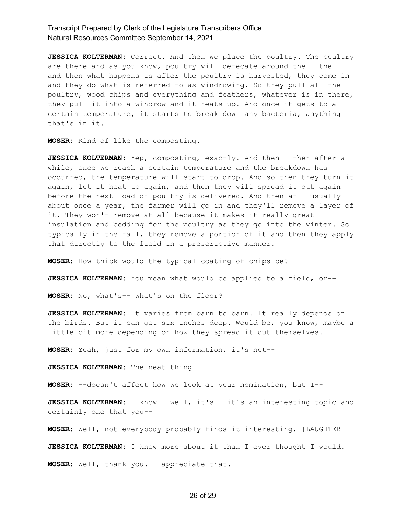**JESSICA KOLTERMAN:** Correct. And then we place the poultry. The poultry are there and as you know, poultry will defecate around the-- the- and then what happens is after the poultry is harvested, they come in and they do what is referred to as windrowing. So they pull all the poultry, wood chips and everything and feathers, whatever is in there, they pull it into a windrow and it heats up. And once it gets to a certain temperature, it starts to break down any bacteria, anything that's in it.

**MOSER:** Kind of like the composting.

**JESSICA KOLTERMAN:** Yep, composting, exactly. And then-- then after a while, once we reach a certain temperature and the breakdown has occurred, the temperature will start to drop. And so then they turn it again, let it heat up again, and then they will spread it out again before the next load of poultry is delivered. And then at-- usually about once a year, the farmer will go in and they'll remove a layer of it. They won't remove at all because it makes it really great insulation and bedding for the poultry as they go into the winter. So typically in the fall, they remove a portion of it and then they apply that directly to the field in a prescriptive manner.

**MOSER:** How thick would the typical coating of chips be?

**JESSICA KOLTERMAN:** You mean what would be applied to a field, or--

**MOSER:** No, what's-- what's on the floor?

**JESSICA KOLTERMAN:** It varies from barn to barn. It really depends on the birds. But it can get six inches deep. Would be, you know, maybe a little bit more depending on how they spread it out themselves.

**MOSER:** Yeah, just for my own information, it's not--

**JESSICA KOLTERMAN:** The neat thing--

**MOSER:** --doesn't affect how we look at your nomination, but I--

**JESSICA KOLTERMAN:** I know-- well, it's-- it's an interesting topic and certainly one that you--

**MOSER:** Well, not everybody probably finds it interesting. [LAUGHTER]

**JESSICA KOLTERMAN:** I know more about it than I ever thought I would.

**MOSER:** Well, thank you. I appreciate that.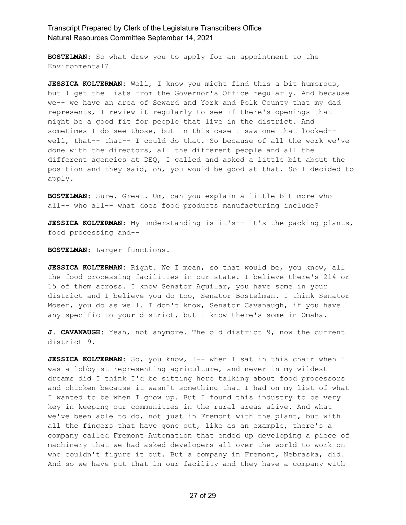**BOSTELMAN:** So what drew you to apply for an appointment to the Environmental?

**JESSICA KOLTERMAN:** Well, I know you might find this a bit humorous, but I get the lists from the Governor's Office regularly. And because we-- we have an area of Seward and York and Polk County that my dad represents, I review it regularly to see if there's openings that might be a good fit for people that live in the district. And sometimes I do see those, but in this case I saw one that looked- well, that-- that-- I could do that. So because of all the work we've done with the directors, all the different people and all the different agencies at DEQ, I called and asked a little bit about the position and they said, oh, you would be good at that. So I decided to apply.

**BOSTELMAN:** Sure. Great. Um, can you explain a little bit more who all-- who all-- what does food products manufacturing include?

**JESSICA KOLTERMAN:** My understanding is it's-- it's the packing plants, food processing and--

**BOSTELMAN:** Larger functions.

**JESSICA KOLTERMAN:** Right. We I mean, so that would be, you know, all the food processing facilities in our state. I believe there's 214 or 15 of them across. I know Senator Aguilar, you have some in your district and I believe you do too, Senator Bostelman. I think Senator Moser, you do as well. I don't know, Senator Cavanaugh, if you have any specific to your district, but I know there's some in Omaha.

**J. CAVANAUGH:** Yeah, not anymore. The old district 9, now the current district 9.

**JESSICA KOLTERMAN:** So, you know, I-- when I sat in this chair when I was a lobbyist representing agriculture, and never in my wildest dreams did I think I'd be sitting here talking about food processors and chicken because it wasn't something that I had on my list of what I wanted to be when I grow up. But I found this industry to be very key in keeping our communities in the rural areas alive. And what we've been able to do, not just in Fremont with the plant, but with all the fingers that have gone out, like as an example, there's a company called Fremont Automation that ended up developing a piece of machinery that we had asked developers all over the world to work on who couldn't figure it out. But a company in Fremont, Nebraska, did. And so we have put that in our facility and they have a company with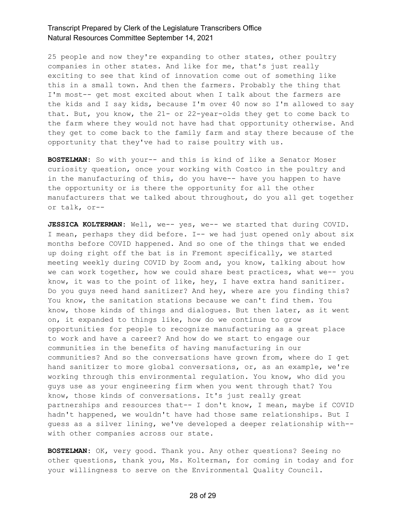25 people and now they're expanding to other states, other poultry companies in other states. And like for me, that's just really exciting to see that kind of innovation come out of something like this in a small town. And then the farmers. Probably the thing that I'm most-- get most excited about when I talk about the farmers are the kids and I say kids, because I'm over 40 now so I'm allowed to say that. But, you know, the 21- or 22-year-olds they get to come back to the farm where they would not have had that opportunity otherwise. And they get to come back to the family farm and stay there because of the opportunity that they've had to raise poultry with us.

**BOSTELMAN:** So with your-- and this is kind of like a Senator Moser curiosity question, once your working with Costco in the poultry and in the manufacturing of this, do you have-- have you happen to have the opportunity or is there the opportunity for all the other manufacturers that we talked about throughout, do you all get together or talk, or--

**JESSICA KOLTERMAN:** Well, we-- yes, we-- we started that during COVID. I mean, perhaps they did before. I-- we had just opened only about six months before COVID happened. And so one of the things that we ended up doing right off the bat is in Fremont specifically, we started meeting weekly during COVID by Zoom and, you know, talking about how we can work together, how we could share best practices, what we-- you know, it was to the point of like, hey, I have extra hand sanitizer. Do you guys need hand sanitizer? And hey, where are you finding this? You know, the sanitation stations because we can't find them. You know, those kinds of things and dialogues. But then later, as it went on, it expanded to things like, how do we continue to grow opportunities for people to recognize manufacturing as a great place to work and have a career? And how do we start to engage our communities in the benefits of having manufacturing in our communities? And so the conversations have grown from, where do I get hand sanitizer to more global conversations, or, as an example, we're working through this environmental regulation. You know, who did you guys use as your engineering firm when you went through that? You know, those kinds of conversations. It's just really great partnerships and resources that-- I don't know, I mean, maybe if COVID hadn't happened, we wouldn't have had those same relationships. But I guess as a silver lining, we've developed a deeper relationship with- with other companies across our state.

**BOSTELMAN:** OK, very good. Thank you. Any other questions? Seeing no other questions, thank you, Ms. Kolterman, for coming in today and for your willingness to serve on the Environmental Quality Council.